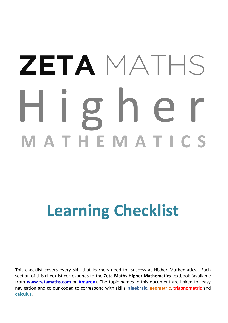# H i g h e r<br>MATHEMATICS **ZETA** MATHS

## **Learning Checklist**

This checklist covers every skill that learners need for success at Higher Mathematics. Each section of this checklist corresponds to the **Zeta Maths Higher Mathematics** textbook (available from **[www.zetamaths.com](http://www.zetamaths.com/)** or **[Amazon](https://www.amazon.co.uk/s?i=stripbooks&rh=p_27%3AMichael+Mackison&s=relevancerank&text=Michael+Mackison&ref=dp_byline_sr_book_1)**). The topic names in this document are linked for easy navigation and colour coded to correspond with skills: **algebraic**, **geometric**, **trigonometric** and **calculus**.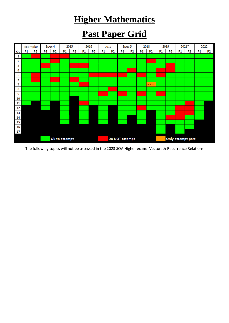#### **Higher Mathematics**

#### **Past Paper Grid**



The following topics will not be assessed in the 2023 SQA Higher exam: Vectors & Recurrence Relations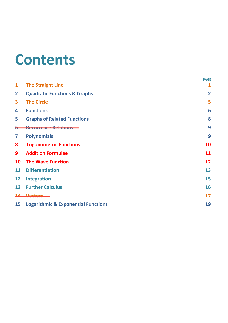### <span id="page-2-0"></span>**Contents**

|                |                                                | <b>PAGE</b>    |
|----------------|------------------------------------------------|----------------|
| $\mathbf{1}$   | <b>The Straight Line</b>                       | 1              |
| $\overline{2}$ | <b>Quadratic Functions &amp; Graphs</b>        | $\overline{2}$ |
| 3              | <b>The Circle</b>                              | 5              |
| 4              | <b>Functions</b>                               | 6              |
| 5              | <b>Graphs of Related Functions</b>             | 8              |
|                |                                                | 9              |
| 7              | <b>Polynomials</b>                             | 9              |
| 8              | <b>Trigonometric Functions</b>                 | 10             |
| 9              | <b>Addition Formulae</b>                       | 11             |
| 10             | <b>The Wave Function</b>                       | 12             |
| 11             | <b>Differentiation</b>                         | 13             |
| 12             | <b>Integration</b>                             | 15             |
| 13             | <b>Further Calculus</b>                        | 16             |
|                | <b>Vectors</b>                                 | 17             |
| 15             | <b>Logarithmic &amp; Exponential Functions</b> | 19             |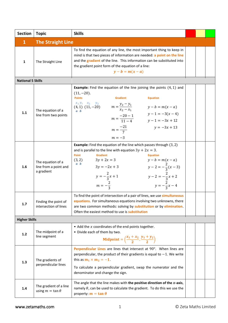<span id="page-3-0"></span>

| <b>Section</b>           | <b>Topic</b>                                             | <b>Skills</b>                                                                                                                                                                                                                                                                                                                                                                                             |  |  |
|--------------------------|----------------------------------------------------------|-----------------------------------------------------------------------------------------------------------------------------------------------------------------------------------------------------------------------------------------------------------------------------------------------------------------------------------------------------------------------------------------------------------|--|--|
| $\mathbf{1}$             | <b>The Straight Line</b>                                 |                                                                                                                                                                                                                                                                                                                                                                                                           |  |  |
| 1                        | The Straight Line                                        | To find the equation of any line, the most important thing to keep in<br>mind is that two pieces of information are needed: a point on the line<br>and the gradient of the line. This information can be substituted into<br>the gradient point form of the equation of a line:<br>$y-b=m(x-a)$                                                                                                           |  |  |
| <b>National 5 Skills</b> |                                                          |                                                                                                                                                                                                                                                                                                                                                                                                           |  |  |
| 1.1                      | The equation of a<br>line from two points                | <b>Example:</b> Find the equation of the line joining the points $(4, 1)$ and<br>$(11, -20)$ .<br><b>Points</b><br><b>Gradient</b><br><b>Equation</b><br>$x_1 y_1 x_2 y_2$<br>(4, 1) $(11, -20)$ $m = \frac{y_2 - y_1}{x_2 - x_1}$ $y - b = m(x - a)$<br>$a\,b$<br>$m = \frac{-20 - 1}{11 - 4}$ $y - 1 = -3(x - 4)$<br>$y - 1 = -3x + 12$<br>$m = \frac{-21}{7}$<br>$y = -3x + 13$<br>$m = -3$            |  |  |
| 1.6                      | The equation of a<br>line from a point and<br>a gradient | <b>Example:</b> Find the equation of the line which passes through $(3,2)$<br>and is parallel to the line with equation $3y + 2x = 3$ .<br>Point<br><b>Gradient</b><br><b>Equation</b><br>$3y + 2x = 3$<br>(3, 2)<br>$y - b = m(x - a)$<br>$y - 2 = -\frac{2}{3}(x - 3)$<br>$a\,b$<br>$3y = -2x + 3$<br>$y = -\frac{2}{3}x + 1$<br>$y-2=-\frac{2}{3}x+2$<br>$y = -\frac{2}{3}x - 4$<br>$m = -\frac{2}{3}$ |  |  |
| 1.7                      | Finding the point of<br>intersection of lines            | To find the point of intersection of a pair of lines, we use simultaneous<br>equations. For simultaneous equations involving two unknowns, there<br>are two common methods: solving by substitution or by elimination.<br>Often the easiest method to use is substitution                                                                                                                                 |  |  |
| <b>Higher Skills</b>     |                                                          |                                                                                                                                                                                                                                                                                                                                                                                                           |  |  |
| 1.2                      | The midpoint of a<br>line segment                        | • Add the $x$ coordinates of the end points together.<br>• Divide each of them by two.<br>Midpoint = $\left(\frac{x_1 + x_2}{2}, \frac{y_1 + y_2}{2}\right)$                                                                                                                                                                                                                                              |  |  |
| 1.3                      | The gradients of<br>perpendicular lines                  | Perpendicular Lines are lines that intersect at 90°. When lines are<br>perpendicular, the product of their gradients is equal to $-1$ . We write<br>this as $m_1 \times m_2 = -1$ .<br>To calculate a perpendicular gradient, swap the numerator and the<br>denominator and change the sign.                                                                                                              |  |  |
| 1.4                      | The gradient of a line<br>using $m = \tan \theta$        | The angle that the line makes with the positive direction of the $x$ -axis,<br>namely $\theta$ , can be used to calculate the gradient. To do this we use the<br>property: $m = \tan \theta$                                                                                                                                                                                                              |  |  |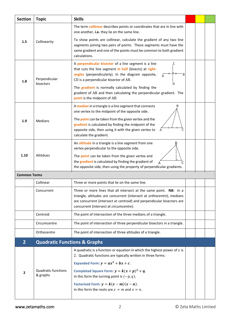<span id="page-4-0"></span>

| <b>Section</b>      | <b>Topic</b>                            | <b>Skills</b>                                                                                                                                                                                                                                                     |  |  |
|---------------------|-----------------------------------------|-------------------------------------------------------------------------------------------------------------------------------------------------------------------------------------------------------------------------------------------------------------------|--|--|
|                     |                                         | The term collinear describes points or coordinates that are in line with<br>one another, i.e. they lie on the same line.                                                                                                                                          |  |  |
| 1.5                 | Collinearity                            | To show points are collinear, calculate the gradient of any two line<br>segments joining two pairs of points. These segments must have the<br>same gradient and one of the points must be common to both gradient<br>calculations.                                |  |  |
| 1.8                 | Perpendicular<br>bisectors              | A perpendicular bisector of a line segment is a line<br>C<br>that cuts the line segment in half (bisects) at right-<br>angles (perpendicularly). In the diagram opposite,<br>В<br>CD is a perpendicular bisector of AB.<br>Ð                                      |  |  |
|                     |                                         | The gradient is normally calculated by finding the<br>gradient of AB and then calculating the perpendicular gradient. The<br>point is the midpoint of AB.                                                                                                         |  |  |
|                     |                                         | B<br>A median in a triangle is a line segment that connects<br>one vertex to the midpoint of the opposite side.                                                                                                                                                   |  |  |
| 1.9                 | Medians                                 | The point can be taken from the given vertex and the<br>gradient is calculated by finding the midpoint of the<br>opposite side, then using it with the given vertex to<br>A<br>calculate the gradient.                                                            |  |  |
| 1.10                | Altitdues                               | An altitude in a triangle is a line segment from one<br>vertex perpendicular to the opposite side.                                                                                                                                                                |  |  |
|                     |                                         | The point can be taken from the given vertex and<br>the gradient is calculated by finding the gradient of<br>the opposite side, then using the property of perpendicular gradients.                                                                               |  |  |
| <b>Common Terms</b> |                                         |                                                                                                                                                                                                                                                                   |  |  |
|                     | Collinear                               | Three or more points that lie on the same line.                                                                                                                                                                                                                   |  |  |
|                     | Concurrent                              | Three or more lines that all intersect at the same point. NB: In a<br>triangle, altitudes are concurrent (intersect at orthocentre), medians<br>are concurrent (intersect at centroid) and perpendicular bisectors are<br>concurrent (intersect at circumcentre). |  |  |
|                     | Centroid                                | The point of intersection of the three medians of a triangle.                                                                                                                                                                                                     |  |  |
|                     | Circumcentre                            | The point of intersection of three perpendicular bisectors in a triangle.                                                                                                                                                                                         |  |  |
|                     | Orthocentre                             | The point of intersection of three altitudes of a triangle.                                                                                                                                                                                                       |  |  |
| $\overline{2}$      | <b>Quadratic Functions &amp; Graphs</b> |                                                                                                                                                                                                                                                                   |  |  |
|                     |                                         | A quadratic is a function or equation in which the highest power of $x$ is<br>2. Quadratic functions are typically written in three forms:                                                                                                                        |  |  |
|                     |                                         | Expanded Form: $y = ax^2 + bx + c$ .                                                                                                                                                                                                                              |  |  |
| $\mathbf{2}$        | <b>Quadratic functions</b><br>& graphs  | Completed Square Form: $y = k(x + p)^2 + q$ .<br>In this form the turning point is $(-p, q)$ .                                                                                                                                                                    |  |  |
|                     |                                         | Factorised Form: $y = k(x - m)(x - n)$ .<br>In this form the roots are $x = m$ and $x = n$ .                                                                                                                                                                      |  |  |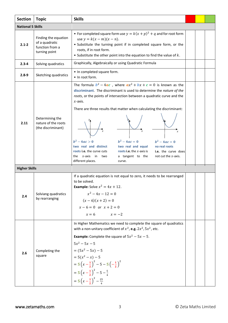| <b>Section</b>           | <b>Topic</b>                                                               | <b>Skills</b>                                                                                                                                                                                                                                                                                                                                                                                                                                                                                                                                                                                                                      |  |  |
|--------------------------|----------------------------------------------------------------------------|------------------------------------------------------------------------------------------------------------------------------------------------------------------------------------------------------------------------------------------------------------------------------------------------------------------------------------------------------------------------------------------------------------------------------------------------------------------------------------------------------------------------------------------------------------------------------------------------------------------------------------|--|--|
| <b>National 5 Skills</b> |                                                                            |                                                                                                                                                                                                                                                                                                                                                                                                                                                                                                                                                                                                                                    |  |  |
| $2.1 - 2$                | Finding the equation<br>of a quadratic<br>function from a<br>turning point | • For completed square form use $y = k(x + p)^2 + q$ and for root form<br>use $y = k(x - m)(x - n)$ .<br>• Substitute the turning point if in completed square form, or the<br>roots, if in root form.<br>• Substitute the other point into the equation to find the value of $k$ .                                                                                                                                                                                                                                                                                                                                                |  |  |
| $2.3 - 4$                | Solving quadratics                                                         | Graphically, Algebraically or using Quadratic Formula                                                                                                                                                                                                                                                                                                                                                                                                                                                                                                                                                                              |  |  |
| $2.8 - 9$                | Sketching quadratics                                                       | • In completed square form.<br>• In root form.                                                                                                                                                                                                                                                                                                                                                                                                                                                                                                                                                                                     |  |  |
| 2.11                     | Determining the<br>nature of the roots<br>(the discriminant)               | The formula $b^2 - 4ac$ , where $ax^2 + bx + c = 0$ is known as the<br>discriminant. The discriminant is used to determine the nature of the<br>roots, or the points of intersection between a quadratic curve and the<br>$x$ -axis.<br>There are three results that matter when calculating the discriminant:<br>$b^2 - 4ac = 0$<br>$b^2 - 4ac = 0$<br>$b^2 - 4ac > 0$<br>two real and distinct<br>two real and equal<br>no real roots<br>roots i.e. the curve cuts<br>roots i.e. the $x$ -axis is<br>i.e. the curve does<br>the $x$ -axis in<br>a tangent to the<br>two<br>not cut the $x$ -axis.<br>different places.<br>curve. |  |  |
| <b>Higher Skills</b>     |                                                                            |                                                                                                                                                                                                                                                                                                                                                                                                                                                                                                                                                                                                                                    |  |  |
| 2.4                      | Solviang quadratics<br>by rearranging                                      | If a quadratic equation is not equal to zero, it needs to be rearranged<br>to be solved.<br><b>Example:</b> Solve $x^2 = 4x + 12$ .<br>$x^2 - 4x - 12 = 0$<br>$(x-6)(x+2) = 0$<br>$x-6=0$ or $x+2=0$<br>$x = 6$ $x = -2$                                                                                                                                                                                                                                                                                                                                                                                                           |  |  |
| 2.6                      | Completing the<br>square                                                   | In Higher Mathematics we need to complete the square of quadratics<br>with a non-unitary coefficient of $x^2$ , e.g. $2x^2$ , $5x^2$ , etc.<br><b>Example:</b> Complete the square of $5x^2 - 5x - 5$ .<br>$5x^2 - 5x - 5$<br>$= (5x^2 - 5x) - 5$<br>$= 5(x^2 - x) - 5$<br>$=5\left(x-\frac{1}{2}\right)^2-5-5\left(-\frac{1}{2}\right)^2$<br>$=5\left(x-\frac{1}{2}\right)^2-5-\frac{5}{4}$<br>$=5\left(x-\frac{1}{2}\right)^2-\frac{25}{4}$                                                                                                                                                                                      |  |  |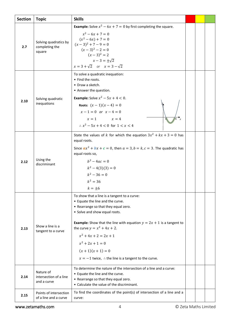| <b>Section</b> | <b>Topic</b>                                       | <b>Skills</b>                                                                                                                                                                                                                                                                                                                                                                                                             |  |  |
|----------------|----------------------------------------------------|---------------------------------------------------------------------------------------------------------------------------------------------------------------------------------------------------------------------------------------------------------------------------------------------------------------------------------------------------------------------------------------------------------------------------|--|--|
| 2.7            | Solving quadratics by<br>completing the<br>square  | <b>Example:</b> Solve $x^2 - 6x + 7 = 0$ by first completing the square.<br>$x^2-6x+7=0$<br>$(x^2-6x)+7=0$<br>$(x-3)^2 + 7 - 9 = 0$<br>$(x-3)^2-2=0$<br>$(x-3)^2 = 2$<br>$x - 3 = \pm \sqrt{2}$<br>$x = 3 + \sqrt{2}$ or $x = 3 - \sqrt{2}$                                                                                                                                                                               |  |  |
| 2.10           | Solving quadratic<br>inequations                   | To solve a quadratic inequation:<br>• Find the roots.<br>• Draw a sketch.<br>• Answer the question.<br><b>Example:</b> Solve $x^2 - 5x + 4 < 0$ .<br>Roots: $(x-1)(x-4) = 0$<br>$x-1=0$ or $x-4=0$<br>$x = 1$ $x = 4$<br>$\therefore$ $x^2 - 5x + 4 < 0$ for $1 < x < 4$                                                                                                                                                  |  |  |
| 2.12           | Using the<br>discriminant                          | State the values of k for which the equation $3x^2 + kx + 3 = 0$ has<br>equal roots.<br>Since $ax^2 + bx + c = 0$ , then $a = 3$ , $b = k$ , $c = 3$ . The quadratic has<br>equal roots so,<br>$h^2 - 4ac = 0$<br>$k^2-4(3)(3)=0$<br>$k^2 - 36 = 0$<br>$k^2 = 36$<br>$k = \pm 6$                                                                                                                                          |  |  |
| 2.13           | Show a line is a<br>tangent to a curve             | To show that a line is a tangent to a curve:<br>• Equate the line and the curve.<br>• Rearrange so that they equal zero.<br>• Solve and show equal roots.<br><b>Example:</b> Show that the line with equation $y = 2x + 1$ is a tangent to<br>the curve $y = x^2 + 4x + 2$ .<br>$x^2 + 4x + 2 = 2x + 1$<br>$x^2 + 2x + 1 = 0$<br>$(x + 1)(x + 1) = 0$<br>$x = -1$ twice, $\therefore$ the line is a tangent to the curve. |  |  |
| 2.14           | Nature of<br>intersection of a line<br>and a curve | To determine the nature of the intersection of a line and a curve:<br>• Equate the line and the curve.<br>• Rearrange so that they equal zero.<br>• Calculate the value of the discriminant.                                                                                                                                                                                                                              |  |  |
| 2.15           | Points of intersection<br>of a line and a curve    | To find the coordinates of the point(s) of intersection of a line and a<br>curve:                                                                                                                                                                                                                                                                                                                                         |  |  |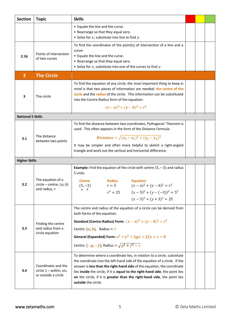<span id="page-7-0"></span>

| <b>Section</b>           | <b>Topic</b>                                                           | <b>Skills</b>                                                                                                                                                                                                                                                                                                                                                                                                          |  |  |
|--------------------------|------------------------------------------------------------------------|------------------------------------------------------------------------------------------------------------------------------------------------------------------------------------------------------------------------------------------------------------------------------------------------------------------------------------------------------------------------------------------------------------------------|--|--|
|                          |                                                                        | • Equate the line and the curve.<br>• Rearrange so that they equal zero.<br>• Solve for $x$ , substitute into line to find $y$ .                                                                                                                                                                                                                                                                                       |  |  |
| 2.16                     | Points of intersection<br>of two curves                                | To find the coordinates of the point(s) of intersection of a line and a<br>curve:<br>• Equate the line and the curve.<br>• Rearrange so that they equal zero.<br>• Solve for $x$ , substitute into one of the curves to find $y$ .                                                                                                                                                                                     |  |  |
| 3                        | <b>The Circle</b>                                                      |                                                                                                                                                                                                                                                                                                                                                                                                                        |  |  |
| 3                        | The circle                                                             | To find the equation of any circle, the most important thing to keep in<br>mind is that two pieces of information are needed: the centre of the<br>circle and the radius of the circle. This information can be substituted<br>into the Centre-Radius form of the equation:<br>$(x-a)^2 + (y-b)^2 = r^2$                                                                                                               |  |  |
| <b>National 5 Skills</b> |                                                                        |                                                                                                                                                                                                                                                                                                                                                                                                                        |  |  |
| 3.1                      | The distance<br>between two points                                     | To find the distance between two coordinates, Pythagoras' Theorem is<br>used. This often appears in the form of the Distance Formula:<br>Distance = $\sqrt{(x_2 - x_1)^2 + (y_2 - y_1)^2}$<br>It may be simpler and often more helpful to sketch a right-angled<br>triangle and work out the vertical and horizontal difference.                                                                                       |  |  |
| <b>Higher Skills</b>     |                                                                        |                                                                                                                                                                                                                                                                                                                                                                                                                        |  |  |
| 3.2                      | The equation of a<br>circle – centre, $(a, b)$<br>and radius, $r$      | <b>Example:</b> Find the equation of the circle with centre $(5, -3)$ and radius<br>5 units.<br><b>Equation</b><br><b>Radius</b><br><b>Centre</b><br>$(x-a)^2 + (y-b)^2 = r^2$<br>$(5, -3)$<br>$r=5$<br>$a \quad b$<br>$r^{2} = 25$ $(x-5)^{2} + (y-(-3))^{2} = 5^{2}$<br>$(x-5)^2 + (y+3)^2 = 25$                                                                                                                     |  |  |
| 3.3                      | Finding the centre<br>and radius from a<br>circle equation             | The centre and radius of the equation of a circle can be derived from<br>both forms of the equation.<br>Standard (Centre-Radius) Form: $(x-a)^2 + (y-b)^2 = r^2$<br>Centre: $(a, b)$ , Radius = r<br>General (Expanded) Form: $x^2 + y^2 + 2gx + 2fy + c = 0$<br>Centre: $(-g, -f)$ , Radius = $\sqrt{g^2 + f^2 - c}$                                                                                                  |  |  |
| 3.4                      | Coordinates and the<br>circle $1 -$ within, on,<br>or outside a circle | To determine where a coordinate lies, in relation to a circle, substitute<br>the coordinate into the left-hand side of the equation of a circle. If the<br>answer is less than the right-hand side of the equation, the coordinate<br>lies inside the circle, if it is equal to the right-hand side, the point lies<br>on the circle, if it is greater than the right-hand side, the point lies<br>outside the circle. |  |  |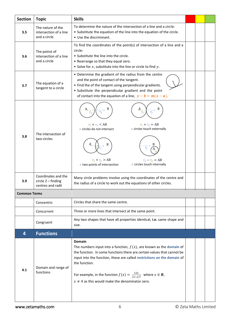<span id="page-8-0"></span>

| <b>Section</b>      | <b>Topic</b>                                                     | <b>Skills</b>                                                                                                                                                                                                                                                                                                                                                                                                 |  |  |
|---------------------|------------------------------------------------------------------|---------------------------------------------------------------------------------------------------------------------------------------------------------------------------------------------------------------------------------------------------------------------------------------------------------------------------------------------------------------------------------------------------------------|--|--|
| 3.5                 | The nature of the<br>intersection of a line<br>and a circle      | To determine the nature of the intersection of a line and a circle:<br>• Substitute the equation of the line into the equation of the circle.<br>• Use the discriminant.                                                                                                                                                                                                                                      |  |  |
| 3.6                 | The poinst of<br>intersection of a line<br>and a circle          | To find the coordinates of the point(s) of intersection of a line and a<br>circle:<br>• Substitute the line into the circle.<br>• Rearrange so that they equal zero.<br>• Solve for $x$ , substitute into the line or circle to find $y$ .                                                                                                                                                                    |  |  |
| 3.7                 | The equation of a<br>tangent to a circle                         | • Determine the gradient of the radius from the centre<br>and the point of contact of the tangent.<br>• Find the of the tangent using perpendicular gradients.<br>• Substitute the perpendicular gradient and the point<br>of contact into the equation of a line, $y - b = m(x - a)$ .                                                                                                                       |  |  |
| 3.8                 | The intersection of<br>two circles                               | B<br>В<br>A,<br>$r_{2}$<br>$r_{1}$<br>$r_{\scriptscriptstyle 1}$<br>$r_{2}$<br>$r_1 + r_2 = AB$<br>$r_1 + r_2 < AB$<br>∴ circles touch externally<br>∴ circles do not intersect<br>B<br>$r_{2}$<br>$r_1 + r_2 > AB$<br>$r_2 - r_1 = AB$<br>∴ circles touch internally<br>∴ two points of intersection                                                                                                         |  |  |
| 3.9                 | Coordinates and the<br>$circle 2 - finding$<br>centres and radii | Many circle problems involve using the coordinates of the centre and<br>the radius of a circle to work out the equations of other circles.                                                                                                                                                                                                                                                                    |  |  |
| <b>Common Terms</b> |                                                                  |                                                                                                                                                                                                                                                                                                                                                                                                               |  |  |
|                     | Concentric                                                       | Circles that share the same centre.                                                                                                                                                                                                                                                                                                                                                                           |  |  |
|                     | Concurrent                                                       | Three or more lines that intersect at the same point.                                                                                                                                                                                                                                                                                                                                                         |  |  |
|                     | Congruent                                                        | Any two shapes that have all properties identical, i.e. same shape and<br>size.                                                                                                                                                                                                                                                                                                                               |  |  |
| 4                   | <b>Functions</b>                                                 |                                                                                                                                                                                                                                                                                                                                                                                                               |  |  |
| 4.1                 | Domain and range of<br>functions                                 | <b>Domain</b><br>The numbers input into a function, $f(x)$ , are known as the domain of<br>the function. In some functions there are certain values that cannot be<br>input into the function, these are called restrictions on the domain of<br>the function.<br>For example, in the function $f(x) = \frac{12x}{(4-x)^2}$ where $x \in \mathbb{R}$ ,<br>$x \neq 4$ as this would make the denominator zero. |  |  |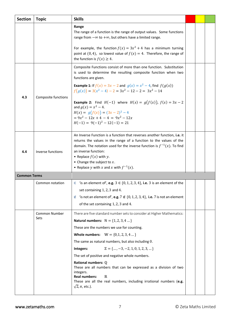| <b>Section</b>      | <b>Topic</b>          | <b>Skills</b>                                                                                                                                                                                                                                                                                                                                                                                                                                                                                                                                                                                                                                    |  |  |
|---------------------|-----------------------|--------------------------------------------------------------------------------------------------------------------------------------------------------------------------------------------------------------------------------------------------------------------------------------------------------------------------------------------------------------------------------------------------------------------------------------------------------------------------------------------------------------------------------------------------------------------------------------------------------------------------------------------------|--|--|
|                     |                       | Range<br>The range of a function is the range of output values. Some functions<br>range from $-\infty$ to $+\infty$ , but others have a limited range.                                                                                                                                                                                                                                                                                                                                                                                                                                                                                           |  |  |
|                     |                       | For example, the function $f(x) = 3x^2 + 4$ has a minimum turning<br>point at (0,4), so lowest value of $f(x) = 4$ . Therefore, the range of<br>the function is $f(x) \geq 4$ .                                                                                                                                                                                                                                                                                                                                                                                                                                                                  |  |  |
|                     |                       | Composite Functions consist of more than one function. Substitution<br>is used to determine the resulting composite function when two<br>functions are given.                                                                                                                                                                                                                                                                                                                                                                                                                                                                                    |  |  |
|                     |                       | <b>Example 1:</b> If $f(x) = 3x - 2$ and $g(x) = x^2 - 4$ , find $f(g(x))$<br>$f(g(x)) = 3(x^2 - 4) - 2 = 3x^2 - 12 - 2 = 3x^2 - 14$                                                                                                                                                                                                                                                                                                                                                                                                                                                                                                             |  |  |
| 4.3                 | Composite functions   | <b>Example 2:</b> Find $H(-1)$ where $H(x) = g(f(x))$ , $f(x) = 3x - 2$<br>and $g(x) = x^2 - 4$ .<br>$H(x) = g(f(x)) = (3x - 2)^2 - 4$<br>$= 9x^2 - 12x + 4 - 4 = 9x^2 - 12x$<br>$H(-1) = 9(-1)^2 - 12(-1) = 21$                                                                                                                                                                                                                                                                                                                                                                                                                                 |  |  |
| 4.4                 | Inverse functions     | An Inverse Function is a function that reverses another function, i.e. it<br>returns the values in the range of a function to the values of the<br>domain. The notation used for the inverse function is $f^{-1}(x)$ . To find<br>an inverse function:<br>• Replace $f(x)$ with y.<br>• Change the subject to $x$ .<br>• Replace y with x and x with $f^{-1}(x)$ .                                                                                                                                                                                                                                                                               |  |  |
| <b>Common Terms</b> |                       |                                                                                                                                                                                                                                                                                                                                                                                                                                                                                                                                                                                                                                                  |  |  |
|                     | Common notation       | $\in$ 'is an element of', e.g. $3 \in \{0, 1, 2, 3, 4\}$ , i.e. 3 is an element of the<br>set containing 1, 2, 3 and 4.<br>'is not an element of', e.g. $7 \notin \{0, 1, 2, 3, 4\}$ , i.e. 7 is not an element<br>∉<br>of the set containing 1, 2, 3 and 4.                                                                                                                                                                                                                                                                                                                                                                                     |  |  |
|                     | Common Number<br>Sets | There are five standard number sets to consider at Higher Mathematics:<br>Natural numbers: $N = \{1, 2, 3, 4 \}$<br>These are the numbers we use for counting.<br><b>Whole numbers:</b> $W = \{0, 1, 2, 3, 4 \dots\}$<br>The same as natural numbers, but also including 0.<br>$\mathbb{Z} = \{, -3, -2, 1, 0, 1, 2, 3, \}$<br>Integers:<br>The set of positive and negative whole numbers.<br>Rational numbers: Q<br>These are all numbers that can be expressed as a division of two<br>integers.<br><b>Real numbers:</b><br>$\mathbb{R}$<br>These are all the real numbers, including irrational numbers (e.g.<br>$\sqrt{2}$ , $\pi$ , etc.). |  |  |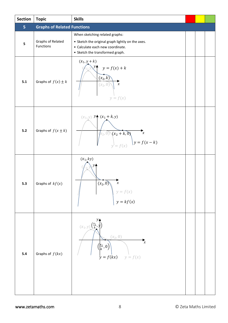<span id="page-10-0"></span>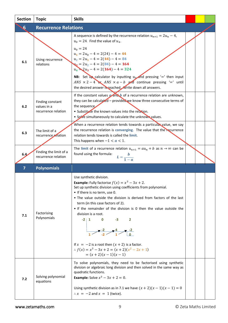<span id="page-11-1"></span><span id="page-11-0"></span>

| <b>Section</b> | <b>Topic</b>                                           | <b>Skills</b>                                                                                                                                                                                                                                                                                                                                                                                                                                                                                                                                                |  |  |
|----------------|--------------------------------------------------------|--------------------------------------------------------------------------------------------------------------------------------------------------------------------------------------------------------------------------------------------------------------------------------------------------------------------------------------------------------------------------------------------------------------------------------------------------------------------------------------------------------------------------------------------------------------|--|--|
| 6              | <b>Recurrence Relations</b>                            |                                                                                                                                                                                                                                                                                                                                                                                                                                                                                                                                                              |  |  |
| 6.1            | Using recurrence<br>relations                          | A sequence is defined by the recurrence relation $u_{n+1} = 2u_n - 4$ ,<br>$u_0 = 24$ . Find the value of $u_4$ .<br>$u_0 = 24$<br>$u_1 = 2u_0 - 4 = 2(24) - 4 = 44$<br>$u_2 = 2u_1 - 4 = 2(44) - 4 = 84$<br>$u_3 = 2u_2 - 4 = 2(84) - 4 = 164$<br>$u_4$ $\geq$ $2u_3 - 4 = 2(164) - 4 = 324$<br><b>NB:</b> Set $\mathbf{u}_k$ calculator by inputting $u_0$ and pressing '=' then input<br>ANS $\times$ 2 - 4 or ANS $\times$ a - b and continue pressing '=' until<br>the desired answer is reached. Write down all answers.                               |  |  |
| 6.2            | Finding constant<br>values in a<br>recurrence relation | If the constant values $\boldsymbol{q}$ and $\boldsymbol{b}$ of a recurrence relation are unknown,<br>they can be calculated - provided we know three consecutive terms of<br>the sequence<br>• Substitute the known values into the relation.<br>• Solve simultaneously to calculate the unknown values.                                                                                                                                                                                                                                                    |  |  |
| 6.3            | The limit of a<br>recurrence relation                  | When a recurrence relation tends towards a particular value, we say<br>the recurrence relation is converging. The value that the recurrence<br>relation tends towards is called the limit.<br>This happens when $-1 < a < 1$ .                                                                                                                                                                                                                                                                                                                               |  |  |
| 6.4            | Finding the limit of a<br>recurrence relation          | The limit of a recurrence relation $u_{n+1} = au_n + b$ as $n \to \infty$ can be<br>found using the formula:<br>$L=\frac{b}{1-a}$                                                                                                                                                                                                                                                                                                                                                                                                                            |  |  |
| $\overline{7}$ | <b>Polynomials</b>                                     |                                                                                                                                                                                                                                                                                                                                                                                                                                                                                                                                                              |  |  |
| 7.1            | Factorising<br>Polynomials                             | Use synthetic division.<br><b>Example:</b> Fully factorise $f(x) = x^3 - 3x + 2$ .<br>Set up synthetic division using coefficients from polynomial.<br>• If there is no term, use 0.<br>. The value outside the division is derived from factors of the last<br>term (in this case factors of 2).<br>• If the remainder of the division is 0 then the value outside the<br>division is a root.<br>$-2$   1<br>2<br>-3<br>If $x = -2$ is a root then $(x + 2)$ is a factor.<br>$\therefore f(x) = x^3 - 3x + 2 = (x + 2)(x^2 - 2x + 1)$<br>$=(x+2)(x-1)(x-1)$ |  |  |
| 7.2            | Solving polynomial<br>equations                        | To solve polynomials, they need to be factorised using synthetic<br>division or algebraic long division and then solved in the same way as<br>quadratic functions.<br><b>Example:</b> Solve $x^3 - 3x + 2 = 0$ .<br>Using synthetic division as in 7.1 we have $(x + 2)(x - 1)(x - 1) = 0$<br>$\therefore x = -2$ and $x = 1$ (twice).                                                                                                                                                                                                                       |  |  |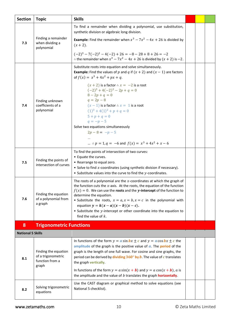<span id="page-12-0"></span>

| <b>Section</b>           | <b>Topic</b>                                                           | <b>Skills</b>                                                                                                                                                                                                                                                                                                                                                                                                                                                                               |  |  |
|--------------------------|------------------------------------------------------------------------|---------------------------------------------------------------------------------------------------------------------------------------------------------------------------------------------------------------------------------------------------------------------------------------------------------------------------------------------------------------------------------------------------------------------------------------------------------------------------------------------|--|--|
|                          |                                                                        | To find a remainder when dividing a polynomial, use substitution,<br>synthetic division or algebraic long division.                                                                                                                                                                                                                                                                                                                                                                         |  |  |
| 7.3                      | Finding a remainder<br>when dividing a<br>polynomial                   | <b>Example:</b> Find the remainder when $x^3 - 7x^2 - 4x + 26$ is divided by<br>$(x + 2)$ .                                                                                                                                                                                                                                                                                                                                                                                                 |  |  |
|                          |                                                                        | $(-2)^3 - 7(-2)^2 - 4(-2) + 26 = -8 - 28 + 8 + 26 = -2$<br>: the remainder when $x^3 - 7x^2 - 4x + 26$ is divided by $(x + 2)$ is -2.                                                                                                                                                                                                                                                                                                                                                       |  |  |
|                          |                                                                        | Substitute roots into equation and solve simultaneously.<br><b>Example:</b> Find the values of p and q if $(x + 2)$ and $(x - 1)$ are factors<br>of $f(x) = x^3 + 4x^2 + px + q$ .                                                                                                                                                                                                                                                                                                          |  |  |
| 7.4                      | Finding unknown<br>coefficients of a<br>polynomial                     | $(x + 2)$ is a factor $\therefore x = -2$ is a root<br>$(-2)^3 + 4(-2)^2 - 2p + q = 0$<br>$8 - 2p + q = 0$<br>$q = 2p - 8$<br>$(x-1)$ is a factor $\therefore x = 1$ is a root<br>$(1)^3 + 4(1)^2 + p + q = 0$<br>$5 + p + q = 0$<br>$q = -p - 5$                                                                                                                                                                                                                                           |  |  |
|                          |                                                                        | Solve two equations simultaneously                                                                                                                                                                                                                                                                                                                                                                                                                                                          |  |  |
|                          |                                                                        | $2p - 8 = -p - 5$                                                                                                                                                                                                                                                                                                                                                                                                                                                                           |  |  |
|                          |                                                                        | $\therefore$ $p = 1, q = -6$ and $f(x) = x^3 + 4x^2 + x - 6$                                                                                                                                                                                                                                                                                                                                                                                                                                |  |  |
| 7.5                      | Finding the points of<br>intersection of curves                        | To find the points of intersection of two curves:<br>• Equate the curves.<br>• Rearrange to equal zero.<br>• Solve to find $x$ -coordinates (using synthetic division if necessary).<br>• Substitute values into the curve to find the $y$ -coordinates.                                                                                                                                                                                                                                    |  |  |
| 7.6                      | Finding the equation<br>of a polynomial from<br>a graph                | The roots of a polynomial are the $x$ -coordinates at which the graph of<br>the function cuts the $x$ -axis. At the roots, the equation of the function<br>$f(x) = 0$ . We can use the roots and the y-intercept of the function to<br>determine the equation.<br>• Substitute the roots, $x = a$ , $x = b$ , $x = c$ in the polynomial with<br>equation $y = k(x - a)(x - b)(x - c)$ .<br>• Substitute the y-intercept or other coordinate into the equation to<br>find the value of $k$ . |  |  |
| 8                        | <b>Trigonometric Functions</b>                                         |                                                                                                                                                                                                                                                                                                                                                                                                                                                                                             |  |  |
| <b>National 5 Skills</b> |                                                                        |                                                                                                                                                                                                                                                                                                                                                                                                                                                                                             |  |  |
| 8.1                      | Finding the equation<br>of a trigonometric<br>function from a<br>graph | In functions of the form $y = a \sin bx \pm c$ and $y = a \cos bx \pm c$ the<br>amplitude of the graph is the positive value of $a$ . The <b>period</b> of the<br>graph is the length of one full wave. For cosine and sine graphs, the<br>period can be derived by dividing $360^\circ$ by b. The value of c translates<br>the graph vertically.                                                                                                                                           |  |  |
|                          |                                                                        | In functions of the form $y = a \sin(x + b)$ and $y = a \cos(x + b)$ , a is<br>the amplitude and the value of $b$ translates the graph <b>horizontally</b> .                                                                                                                                                                                                                                                                                                                                |  |  |
| 8.2                      | Solving trigonometric<br>equations                                     | Use the CAST diagram or graphical method to solve equations (see<br>National 5 checklist).                                                                                                                                                                                                                                                                                                                                                                                                  |  |  |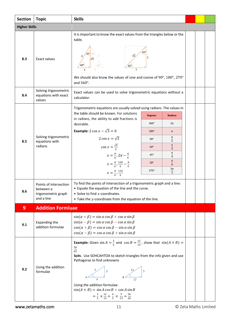<span id="page-13-0"></span>

| <b>Section</b>       | <b>Topic</b>                                                             | <b>Skills</b>                                                                                                                                                                                                                                                                                                                                                                                       |                                                                                                                                                                                       |                          |  |  |  |
|----------------------|--------------------------------------------------------------------------|-----------------------------------------------------------------------------------------------------------------------------------------------------------------------------------------------------------------------------------------------------------------------------------------------------------------------------------------------------------------------------------------------------|---------------------------------------------------------------------------------------------------------------------------------------------------------------------------------------|--------------------------|--|--|--|
| <b>Higher Skills</b> |                                                                          |                                                                                                                                                                                                                                                                                                                                                                                                     |                                                                                                                                                                                       |                          |  |  |  |
| 8.3                  | <b>Exact values</b>                                                      | It is important to know the exact values from the triangles below or the<br>table.<br>$45^\circ$<br>We should also know the values of sine and cosine of 90°, 180°, 270°<br>and $360^\circ$ .                                                                                                                                                                                                       |                                                                                                                                                                                       |                          |  |  |  |
| 8.4                  | Solving trigonometric<br>equations with exact<br>values                  | Exact values can be used to solve trigonometric equations without a<br>calculator.                                                                                                                                                                                                                                                                                                                  |                                                                                                                                                                                       |                          |  |  |  |
|                      |                                                                          | Trigonometric equations are usually solved using radians. The values in                                                                                                                                                                                                                                                                                                                             |                                                                                                                                                                                       |                          |  |  |  |
|                      |                                                                          | the table should be known. For solutions<br>in radians, the ability to add fractions is                                                                                                                                                                                                                                                                                                             | <b>Degrees</b>                                                                                                                                                                        | <b>Radians</b>           |  |  |  |
|                      |                                                                          | desirable.                                                                                                                                                                                                                                                                                                                                                                                          | $360^\circ$                                                                                                                                                                           | $2\pi$                   |  |  |  |
|                      | Solving trigonometric<br>equations with<br>radians                       | <b>Example:</b> $2 \cos x - \sqrt{3} = 0$                                                                                                                                                                                                                                                                                                                                                           | $180^\circ$                                                                                                                                                                           | $\pi$                    |  |  |  |
| 8.5                  |                                                                          | 2 cos $x = \sqrt{3}$                                                                                                                                                                                                                                                                                                                                                                                | $90^\circ$                                                                                                                                                                            | $\pi$<br>$\overline{2}$  |  |  |  |
|                      |                                                                          | $\cos x = \frac{\sqrt{3}}{2}$                                                                                                                                                                                                                                                                                                                                                                       | $60^\circ$                                                                                                                                                                            | $\pi$<br>$\overline{3}$  |  |  |  |
|                      |                                                                          | $x = \frac{\pi}{6}, 2\pi - \frac{\pi}{6}$                                                                                                                                                                                                                                                                                                                                                           | $45^{\circ}$                                                                                                                                                                          | $\pi$<br>$\overline{4}$  |  |  |  |
|                      |                                                                          | $x = \frac{\pi}{6}, \frac{12\pi}{6} - \frac{\pi}{6}$                                                                                                                                                                                                                                                                                                                                                | $30^\circ$                                                                                                                                                                            | $\pi$<br>$\overline{6}$  |  |  |  |
|                      |                                                                          | $x = \frac{\pi}{6}, \frac{11\pi}{6}$                                                                                                                                                                                                                                                                                                                                                                | 270°                                                                                                                                                                                  | $3\pi$<br>$\overline{2}$ |  |  |  |
| 8.6                  | Points of intersection<br>between a<br>trigonometric graph<br>and a line | $\bullet$ Solve to find x-coordinates.                                                                                                                                                                                                                                                                                                                                                              | To find the points of intersection of a trigonometric graph and a line:<br>• Equate the equation of the line and the curve.<br>• Take the y-coordinate from the equation of the line. |                          |  |  |  |
| 9                    | <b>Addition Formluae</b>                                                 |                                                                                                                                                                                                                                                                                                                                                                                                     |                                                                                                                                                                                       |                          |  |  |  |
| 9.1                  | <b>Expanding the</b><br>addition formulae                                | $sin(\alpha + \beta) = sin \alpha cos \beta + cos \alpha sin \beta$<br>$sin(\alpha - \beta) = sin \alpha cos \beta - cos \alpha sin \beta$<br>$\cos(\alpha + \beta) = \cos \alpha \cos \beta - \sin \alpha \sin \beta$<br>$\cos(\alpha - \beta) = \cos \alpha \cos \beta + \sin \alpha \sin \beta$                                                                                                  |                                                                                                                                                                                       |                          |  |  |  |
| 9.2                  | Using the addition<br>formulae                                           | <b>Example:</b> Given $\sin A = \frac{3}{5}$ and $\cos B = \frac{12}{13}$ , show that $\sin(A + B) =$<br>$\frac{56}{65}$<br>Soln. Use SOHCAHTOA to sketch triangles from the info given and use<br>Pythagoras to find unknowns<br>Using the addition formulae:<br>$sin(A + B) = sin A cos B + cos A sin B$<br>$=\frac{3}{5} \times \frac{12}{13} + \frac{4}{5} \times \frac{5}{13} = \frac{56}{65}$ |                                                                                                                                                                                       |                          |  |  |  |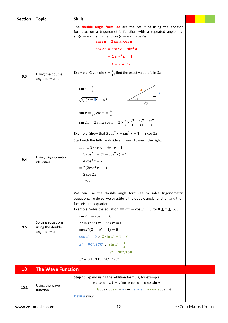<span id="page-14-0"></span>

| <b>Section</b> | <b>Topic</b>                          | <b>Skills</b>                                                                                                                                                                                                                 |  |  |
|----------------|---------------------------------------|-------------------------------------------------------------------------------------------------------------------------------------------------------------------------------------------------------------------------------|--|--|
|                |                                       | The <b>double angle formulae</b> are the result of using the addition<br>formulae on a trigonometric function with a repeated angle, i.e.<br>$sin(a + a) = sin 2a$ and $cos(a + a) = cos 2a$ .<br>$\sin 2a = 2 \sin a \cos a$ |  |  |
|                |                                       | $\cos 2a = \cos^2 a - \sin^2 a$                                                                                                                                                                                               |  |  |
|                |                                       | $= 2 \cos^2 a - 1$                                                                                                                                                                                                            |  |  |
|                |                                       | $= 1 - 2 \sin^2 a$                                                                                                                                                                                                            |  |  |
| 9.3            | Using the double<br>angle formulae    | <b>Example:</b> Given $\sin x = \frac{3}{4}$ , find the exact value of $\sin 2x$ .                                                                                                                                            |  |  |
|                |                                       | $\sin x = \frac{3}{4}$<br>3<br>$\sqrt{(4)^2-3^2}=\sqrt{7}$<br>$\sqrt{7}$                                                                                                                                                      |  |  |
|                |                                       | $\sin x = \frac{3}{4}$ , $\cos x = \frac{\sqrt{7}}{4}$<br>$\sin 2x = 2 \sin x \cos x = 2 \times \frac{3}{4} \times \frac{\sqrt{7}}{4} = \frac{6\sqrt{7}}{16} = \frac{3\sqrt{7}}{8}$                                           |  |  |
|                |                                       | <b>Example:</b> Show that $3\cos^2 x - \sin^2 x - 1 = 2\cos 2x$ .                                                                                                                                                             |  |  |
|                | Using trigonometric<br>identities     | Start with the left-hand-side and work towards the right.                                                                                                                                                                     |  |  |
|                |                                       | $LHS = 3 \cos^2 x - \sin^2 x - 1$                                                                                                                                                                                             |  |  |
|                |                                       | $= 3 \cos^2 x - (1 - \cos^2 x) - 1$                                                                                                                                                                                           |  |  |
| 9.4            |                                       | $= 4 \cos^2 x - 2$                                                                                                                                                                                                            |  |  |
|                |                                       | $= 2(2\cos^2 x - 1)$                                                                                                                                                                                                          |  |  |
|                |                                       | $= 2 \cos 2x$                                                                                                                                                                                                                 |  |  |
|                |                                       | $= RHS.$                                                                                                                                                                                                                      |  |  |
|                |                                       | We can use the double angle formulae to solve trigonometric<br>equations. To do so, we substitute the double angle function and then<br>factorise the equation.                                                               |  |  |
|                |                                       | <b>Example:</b> Solve the equation $\sin 2x^{\circ} - \cos x^{\circ} = 0$ for $0 \le x \le 360$ .                                                                                                                             |  |  |
|                |                                       | $\sin 2x^{\circ} - \cos x^{\circ} = 0$                                                                                                                                                                                        |  |  |
| 9.5            | Solving equations<br>using the double | $2 \sin x^{\circ} \cos x^{\circ} - \cos x^{\circ} = 0$                                                                                                                                                                        |  |  |
|                | angle formulae                        | $\cos x^{\circ} (2 \sin x^{\circ} - 1) = 0$                                                                                                                                                                                   |  |  |
|                |                                       | $\cos x^{\circ} = 0$ or $2 \sin x^{\circ} - 1 = 0$                                                                                                                                                                            |  |  |
|                |                                       | $x^{\circ} = 90^{\circ}, 270^{\circ}$ or sin $x^{\circ} = \frac{1}{2}$                                                                                                                                                        |  |  |
|                |                                       | $x^{\circ} = 30^{\circ}, 150^{\circ}$<br>$x^{\circ} = 30^{\circ}, 90^{\circ}, 150^{\circ}, 270^{\circ}$                                                                                                                       |  |  |
|                |                                       |                                                                                                                                                                                                                               |  |  |
| 10             | <b>The Wave Function</b>              |                                                                                                                                                                                                                               |  |  |
|                |                                       | Step 1: Expand using the addition formula, for example:<br>$k \cos(x - \alpha) = k(\cos x \cos \alpha + \sin x \sin \alpha)$                                                                                                  |  |  |
| 10.1           | Using the wave<br>function            | $= k \cos x \cos \alpha + k \sin x \sin \alpha = k \cos \alpha \cos x +$                                                                                                                                                      |  |  |
|                |                                       | $k \sin \alpha \sin x$                                                                                                                                                                                                        |  |  |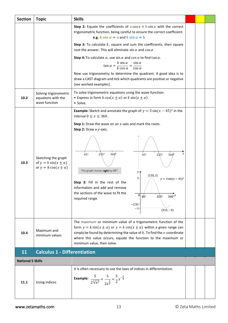<span id="page-15-0"></span>

| <b>Section</b>           | <b>Topic</b>                                                                          | <b>Skills</b>                                                                                                                                                                                                                                                                                                                                                                                                                                     |  |  |
|--------------------------|---------------------------------------------------------------------------------------|---------------------------------------------------------------------------------------------------------------------------------------------------------------------------------------------------------------------------------------------------------------------------------------------------------------------------------------------------------------------------------------------------------------------------------------------------|--|--|
|                          |                                                                                       | <b>Step 2:</b> Equate the coefficients of $\mathbf{a} \cos x + \mathbf{b} \sin x$ with the correct<br>trigonometric function, being careful to ensure the correct coefficient.<br>e.g. $k \cos \alpha = a$ and $k \sin \alpha = b$                                                                                                                                                                                                                |  |  |
|                          |                                                                                       | Step 3: To calculate $k$ , square and sum the coefficients, then square<br>root the answer. This will eliminate $\sin \alpha$ and $\cos \alpha$ .                                                                                                                                                                                                                                                                                                 |  |  |
|                          |                                                                                       | Step 4: To calculate $\alpha$ , use sin $\alpha$ and cos $\alpha$ to find tan $\alpha$ .                                                                                                                                                                                                                                                                                                                                                          |  |  |
|                          |                                                                                       | $\tan \alpha = \frac{k \sin \alpha}{k \cos \alpha} = \frac{\sin \alpha}{\cos \alpha}$                                                                                                                                                                                                                                                                                                                                                             |  |  |
|                          |                                                                                       | Now use trigonometry to determine the quadrant. A good idea is to<br>draw a CAST diagram and tick which quadrants are positive or negative<br>(see worked examples).                                                                                                                                                                                                                                                                              |  |  |
| 10.2                     | Solving trigonometric<br>equations with the<br>wave function                          | To solve trigonometric equations using the wave function:<br>• Express in form $k \cos(x \pm \alpha)$ or $k \sin(x \pm \alpha)$ .<br>· Solve.                                                                                                                                                                                                                                                                                                     |  |  |
|                          |                                                                                       | <b>Example:</b> Sketch and annotate the graph of $y = 3 \sin(x - 45)^\circ$ in the<br>interval $0 \le x \le 360$ .                                                                                                                                                                                                                                                                                                                                |  |  |
|                          |                                                                                       | Step 1: Draw the wave on an $x$ -axis and mark the roots.<br>Step 2: Draw a y-axis.                                                                                                                                                                                                                                                                                                                                                               |  |  |
| 10.3                     | Sketching the graph<br>of $y = k \sin(x \pm \alpha)$<br>or $y = k \cos(x \pm \alpha)$ | x<br>$225^\circ$<br>$360^\circ$<br>$45^{\circ}$<br>$360^\circ$<br>$45^{\circ}$<br>$225^\circ$<br>The graph moves right by 45°.<br>$y$ $\uparrow$<br>(135, 3)<br>$3 -$<br>$y = 3 \sin(x - 45)^{\circ}$<br>Step 3: Fill in the rest of the<br>information and add and remove<br>the sections of the wave to fit the<br>$\overline{0}$<br>$45^\circ$<br>$360^\circ$ <sup>x</sup><br>$225^\circ$<br>required range.<br>$-2.55$<br>$-3$<br>$(315, -3)$ |  |  |
| 10.4                     | Maximum and<br>minimum values                                                         | The maximum or minimum value of a trigonometric function of the<br>form $y = k \sin(x \pm \alpha)$ or $y = k \cos(x \pm \alpha)$ within a given range can<br>simply be found by determining the value of $k$ . To find the $x$ -coordinate<br>where this value occurs, equate the function to the maximum or<br>minimum value, then solve.                                                                                                        |  |  |
| 11                       | <b>Calculus 1 - Differentiation</b>                                                   |                                                                                                                                                                                                                                                                                                                                                                                                                                                   |  |  |
| <b>National 5 Skills</b> |                                                                                       |                                                                                                                                                                                                                                                                                                                                                                                                                                                   |  |  |
| 11.1                     | Using indices                                                                         | It is often necessary to use the laws of indices in differentiation.<br><b>Example:</b> $\frac{5}{2\sqrt[3]{x^2}} = \frac{5}{2\sqrt[3]{x^2}} = \frac{5}{2}x^{-\frac{2}{3}}$                                                                                                                                                                                                                                                                       |  |  |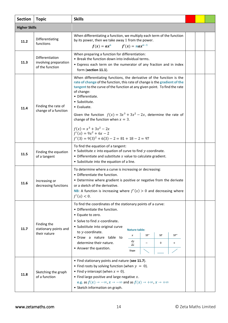| <b>Section</b>       | <b>Topic</b>                                                | <b>Skills</b>                                                                                                                                                                                                                                                                                                                                                                                                                                                                                                                  |  |  |
|----------------------|-------------------------------------------------------------|--------------------------------------------------------------------------------------------------------------------------------------------------------------------------------------------------------------------------------------------------------------------------------------------------------------------------------------------------------------------------------------------------------------------------------------------------------------------------------------------------------------------------------|--|--|
| <b>Higher Skills</b> |                                                             |                                                                                                                                                                                                                                                                                                                                                                                                                                                                                                                                |  |  |
| 11.2                 | Differentiating<br>functions                                | When differentiating a function, we multiply each term of the function<br>by its power, then we take away 1 from the power.<br>$f(x) = ax^n$ $f'(x) = nax^{n-1}$                                                                                                                                                                                                                                                                                                                                                               |  |  |
| 11.3                 | Differentiation<br>involving preparation<br>of the function | When preparing a function for differentiation:<br>• Break the function down into individual terms.<br>• Express each term on the numerator of any fraction and in index<br>form (section 11.1).                                                                                                                                                                                                                                                                                                                                |  |  |
| 11.4                 | Finding the rate of<br>change of a function                 | When differentiating functions, the derivative of the function is the<br>rate of change of the function, this rate of change is the gradient of the<br>tangent to the curve of the function at any given point. To find the rate<br>of change:<br>• Differentiate.<br>• Substitute.<br>• Evaluate.<br>Given the function $f(x) = 3x^3 + 3x^2 - 2x$ , determine the rate of<br>change of the function when $x = 3$ .<br>$f(x) = x^3 + 3x^2 - 2x$<br>$f'(x) = 9x^2 + 6x - 2$<br>$f'(3) = 9(3)^{2} + 6(3) - 2 = 81 + 18 - 2 = 97$ |  |  |
| 11.5                 | Finding the equation<br>of a tangent                        | To find the equation of a tangent:<br>• Substitute $x$ into equation of curve to find $y$ -coordinate.<br>• Differentiate and substitute $x$ value to calculate gradient.<br>• Substitute into the equation of a line.                                                                                                                                                                                                                                                                                                         |  |  |
| 11.6                 | Increasing or<br>decreasing functions                       | To determine where a curve is increasing or decreasing:<br>• Differentiate the function.<br>• Determine where gradient is positive or negative from the derivate<br>or a sketch of the derivative.<br><b>NB:</b> A function is increasing where $f'(x) > 0$ and decreasing where<br>f'(x) < 0.                                                                                                                                                                                                                                 |  |  |
| 11.7                 | Finding the<br>stationary points and<br>their nature        | To find the coordinates of the stationary points of a curve:<br>• Differentiate the function.<br>• Equate to zero.<br>• Solve to find $x$ -coordinate.<br>· Substitute into original curve<br><b>Nature table:</b><br>to y-coordinate.<br>$SP^-$<br>SP<br>$SP+$<br>$\pmb{\chi}$<br>· Draw a nature table to<br>dу<br>determine their nature.<br>0<br>$^{+}$<br>$\overline{dx}$<br>• Answer the question.<br>Slope                                                                                                              |  |  |
| 11.8                 | Sketching the graph<br>of a function                        | • Find stationary points and nature (see 11.7).<br>• Find roots by solving function (when $y = 0$ ).<br>• Find y-intercept (when $x = 0$ ).<br>• Find large positive and large negative $x$ .<br>e.g. as $f(x) \to -\infty$ , $x \to -\infty$ and as $f(x) \to +\infty$ , $x \to +\infty$<br>• Sketch information on graph.                                                                                                                                                                                                    |  |  |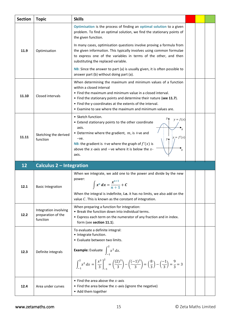<span id="page-17-0"></span>

| <b>Section</b> | <b>Topic</b>                                            | <b>Skills</b>                                                                                                                                                                                                                                                                                                                                                               |  |  |
|----------------|---------------------------------------------------------|-----------------------------------------------------------------------------------------------------------------------------------------------------------------------------------------------------------------------------------------------------------------------------------------------------------------------------------------------------------------------------|--|--|
|                |                                                         | Optimisation is the process of finding an optimal solution to a given<br>problem. To find an optimal solution, we find the stationary points of<br>the given function.                                                                                                                                                                                                      |  |  |
| 11.9           | Optimisation                                            | In many cases, optimisation questions involve proving a formula from<br>the given information. This typically involves using common formulae<br>to express one of the variables in terms of the other, and then<br>substituting the replaced variable.                                                                                                                      |  |  |
|                |                                                         | NB: Since the answer to part (a) is usually given, it is often possible to<br>answer part (b) without doing part (a).                                                                                                                                                                                                                                                       |  |  |
| 11.10          | Closed intervals                                        | When determining the maximum and minimum values of a function<br>within a closed interval<br>• Find the maximum and minimum value in a closed interval.<br>• Find the stationary points and determine their nature (see 11.7).<br>• Find the y-coordinates at the extents of the interval.<br>• Examine to see where the maximum and minimum values are.                    |  |  |
| 11.11          | Sketching the derived<br>function                       | • Sketch function.<br>$\mathcal{Y}$<br>$y = f(x)$<br>• Extend stationary points to the other coordinate<br>axis.<br>• Determine where the gradient, $m$ , is +ve and<br>$y_i = f'(x)$<br>$-ve.$<br>$y_{\spadesuit}$<br><b>NB:</b> the gradient is +ve where the graph of $f'(x)$ is<br>above the x-axis and $-$ ve where it is below the x-<br>$\boldsymbol{\chi}$<br>axis. |  |  |
| 12             | <b>Calculus 2 - Integration</b>                         |                                                                                                                                                                                                                                                                                                                                                                             |  |  |
| 12.1           | <b>Basic Integration</b>                                | When we integrate, we add one to the power and divide by the new<br>power:<br>$x^n dx = \frac{x^{n+1}}{n+1} + C$<br>J<br>When the integral is indefinite, i.e. it has no limits, we also add on the<br>value $C$ . This is known as the constant of integration.                                                                                                            |  |  |
| 12.2           | Integration involving<br>preparation of the<br>function | When preparing a function for integration:<br>• Break the function down into individual terms.<br>• Express each term on the numerator of any fraction and in index.<br>form (see section 11.1).                                                                                                                                                                            |  |  |
| 12.3           | Definite integrals                                      | To evaluate a definite integral:<br>• Integrate function.<br>• Evaluate between two limits.<br><b>Example:</b> Evaluate $\int_{-a}^{a} x^2 dx$ .                                                                                                                                                                                                                            |  |  |
|                |                                                         | $\int_{-1}^{2} x^2 dx = \left[\frac{x^3}{3}\right]_{-1}^{2} = \left(\frac{(2)^3}{3}\right) - \left(\frac{(-1)^3}{3}\right) = \left(\frac{8}{3}\right) - \left(\frac{-1}{3}\right) = \frac{9}{3} = 3$                                                                                                                                                                        |  |  |
| 12.4           | Area under curves                                       | • Find the area above the $x$ -axis<br>• Find the area below the $x$ -axis (ignore the negative)<br>• Add them together                                                                                                                                                                                                                                                     |  |  |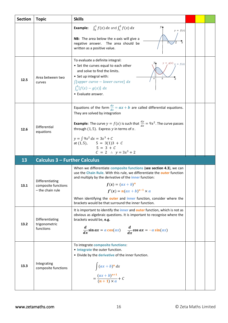<span id="page-18-0"></span>

| <b>Section</b> | <b>Topic</b>                                  | <b>Skills</b>                                                                                                                                                                                                                                                                                                                                                                 |  |  |
|----------------|-----------------------------------------------|-------------------------------------------------------------------------------------------------------------------------------------------------------------------------------------------------------------------------------------------------------------------------------------------------------------------------------------------------------------------------------|--|--|
|                |                                               | $\int_0^1 f(x) dx$ and $\int_1^2 f(x) dx$<br>Example:<br>$\mathcal{Y}$<br>$y = f(x)$<br>NB: The area below the x-axis will give a<br>negative answer. The area should be<br>written as a positive value.                                                                                                                                                                      |  |  |
| 12.5           | Area between two<br>curves                    | To evaluate a definite integral:<br>$g(x)$ $y = f(x)$<br>• Set the curves equal to each other<br>and solve to find the limits.<br>• Set up integral with:<br>$\int [upper curve - lower curve] dx$<br>$\int_a^b [f(x) - g(x)] dx$<br>• Evaluate answer.                                                                                                                       |  |  |
| 12.6           | Differential<br>equations                     | Equations of the form $\frac{dy}{dx} = ax + b$ are called differential equations.<br>They are solved by integration<br><b>Example:</b> The curve $y = f(x)$ is such that $\frac{dy}{dx} = 9x^2$ . The curve passes<br>through $(1, 5)$ . Express y in terms of x.<br>$y = \int 9x^2 dx = 3x^3 + C$<br>at $(1,5)$ , $5 = 3(1)3 + C$<br>$5 = 3 + C$<br>$C = 2$ : $y = 3x^3 + 2$ |  |  |
| 13             | <b>Calculus 3 - Further Calculus</b>          |                                                                                                                                                                                                                                                                                                                                                                               |  |  |
| 13.1           | Differentiating<br>composite functions        | When we differentiate composite functions (see section 4.3), we can<br>use the Chain Rule. With this rule, we differentiate the outer function<br>and multiply by the derivative of the <i>inner</i> function:<br>$f(x) = (ax + b)^n$                                                                                                                                         |  |  |
|                | - the chain rule                              | $f'(x) = n(ax + b)^{n-1} \times a$<br>When identifying the outer and inner function, consider where the<br>brackets would be that surround the inner function.                                                                                                                                                                                                                |  |  |
| 13.2           | Differentiating<br>trigonometric<br>functions | It is important to identify the <i>inner</i> and <b>outer</b> function, which is not as<br>obvious as algebraic questions. It is important to recognise where the<br>brackets would be, e.g.<br>$rac{d}{dx}$ sin ax = a cos(ax) $rac{d}{dx}$ cos ax = -a sin(ax)                                                                                                              |  |  |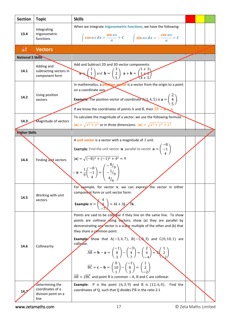<span id="page-19-0"></span>

| <b>Section</b>           | <b>Topic</b>                                           | <b>Skills</b>                                                                                                                                                                                                                                                                                                                                                                                                                                                                                                                                                                                                                                                                                                                                                                                                                                                                                                                                                            |  |  |
|--------------------------|--------------------------------------------------------|--------------------------------------------------------------------------------------------------------------------------------------------------------------------------------------------------------------------------------------------------------------------------------------------------------------------------------------------------------------------------------------------------------------------------------------------------------------------------------------------------------------------------------------------------------------------------------------------------------------------------------------------------------------------------------------------------------------------------------------------------------------------------------------------------------------------------------------------------------------------------------------------------------------------------------------------------------------------------|--|--|
| 13.4                     | Integrating<br>trigonometric<br>functions              | When we integrate trigonometric functions, we have the following:<br>$\int \cos ax \, dx = \frac{\sin ax}{a} + C \qquad \int \sin ax \, dx = -\frac{\cos ax}{a} + C$                                                                                                                                                                                                                                                                                                                                                                                                                                                                                                                                                                                                                                                                                                                                                                                                     |  |  |
| 14                       | <b>Vectors</b>                                         |                                                                                                                                                                                                                                                                                                                                                                                                                                                                                                                                                                                                                                                                                                                                                                                                                                                                                                                                                                          |  |  |
| <b>National 5 Skills</b> |                                                        |                                                                                                                                                                                                                                                                                                                                                                                                                                                                                                                                                                                                                                                                                                                                                                                                                                                                                                                                                                          |  |  |
| 14.1                     | Adding and<br>subtracting vectors in<br>component form | Add and Subtract 2D and 3D vector components:<br>a $\begin{pmatrix} 1 \\ 1 \\ 4 \end{pmatrix}$ and $\mathbf{b} = \begin{pmatrix} 3 \\ 2 \\ 5 \end{pmatrix}$ a + $\mathbf{b} = \begin{pmatrix} 1+3 \\ 1+2 \\ 4+5 \end{pmatrix}$                                                                                                                                                                                                                                                                                                                                                                                                                                                                                                                                                                                                                                                                                                                                           |  |  |
| 14.2                     | Using position<br>vectors                              | In mathematics, a position vector is a vector from the origin to a point<br>on a coordinate axis.<br><b>Example:</b> The position vector of coordinate $A(2, 4, 5)$ is $\mathbf{a} = \begin{pmatrix} 2 \\ 4 \\ 5 \end{pmatrix}$ .<br>If we know the coordinates of points A and B, then $AB = D - a$ .                                                                                                                                                                                                                                                                                                                                                                                                                                                                                                                                                                                                                                                                   |  |  |
| 14.3                     | Magnitude of vectors                                   | To calculate the magnitude of a vector, we use the following formula:<br>$ \mathbf{u}  = \sqrt{x^2 + y^2}$ or in three dimensions: $ \mathbf{u}  = \sqrt{x^2 + y^2 + z^2}$                                                                                                                                                                                                                                                                                                                                                                                                                                                                                                                                                                                                                                                                                                                                                                                               |  |  |
| <b>Nigher Skills</b>     |                                                        |                                                                                                                                                                                                                                                                                                                                                                                                                                                                                                                                                                                                                                                                                                                                                                                                                                                                                                                                                                          |  |  |
| 14.4                     | Finding unit vectors                                   | A unit vector is a vector with a magnitude of 1 unit.<br><b>Example:</b> Find the unit vector <b>u</b> parallel to vector $\mathbf{a} = \begin{pmatrix} -\mathbf{b} \\ -1 \\ 1 \end{pmatrix}$<br>$ {\bf a}  = \sqrt{(-8)^2 + (-1)^2 + 4^2} = 9$<br>$\therefore \mathbf{u} = \frac{1}{9} \begin{pmatrix} -8 \\ -1 \\ 4 \end{pmatrix} = \begin{pmatrix} -8/9 \\ -1/9 \\ 4/7 \end{pmatrix}$                                                                                                                                                                                                                                                                                                                                                                                                                                                                                                                                                                                 |  |  |
| 14.5                     | Working with unit<br>vectors                           | For example, for vector <b>v</b> , we can express the vector in either<br>component form or unit vector form:<br>Example: $v = \begin{pmatrix} x \\ 3 \end{pmatrix} = 4i + 3j$ //k.                                                                                                                                                                                                                                                                                                                                                                                                                                                                                                                                                                                                                                                                                                                                                                                      |  |  |
| 14.6                     | Collinearity<br>Determining the                        | Points are said to be collegar if they line on the same line. To show<br>points are collinear asing vectors; show (a) they are parallel by<br>demonstrating one vector is a scalar multiple of the other and (b) that<br>they share a common point.<br><b>Example.</b> Show that $A(-3, 4, 7)$ , $B(-1, 8, 3)$ and $C(0, 10, 1)$ are<br>collipear.<br>$\overrightarrow{AB} = \mathbf{b} - \mathbf{a} = \begin{pmatrix} -1 \\ 8 \\ 3 \end{pmatrix} - \begin{pmatrix} -3 \\ 4 \\ 7 \end{pmatrix} = \begin{pmatrix} 2 \\ 4 \\ -4 \end{pmatrix} = 2 \begin{pmatrix} 1 \\ 2 \\ 2 \end{pmatrix}$<br>$\overrightarrow{BC} = \mathbf{c} - \mathbf{b} = \begin{pmatrix} 0 \\ 10 \\ 1 \end{pmatrix} - \begin{pmatrix} -1 \\ 8 \\ 2 \end{pmatrix} = \begin{pmatrix} 1 \\ 2 \\ -2 \end{pmatrix}$<br>$\overrightarrow{AB} = 2\overrightarrow{BC}$ and point B is common : A, B and C are collinear.<br><b>Example:</b> P is the point $(6, 3, 9)$ and R is $(12, 6, 0)$ .<br>Find the |  |  |
| 14 <sub>2</sub>          | coordinates of a<br>division point on a<br>line        | coordinates of Q, such that Q divides PR in the ratio 2:1                                                                                                                                                                                                                                                                                                                                                                                                                                                                                                                                                                                                                                                                                                                                                                                                                                                                                                                |  |  |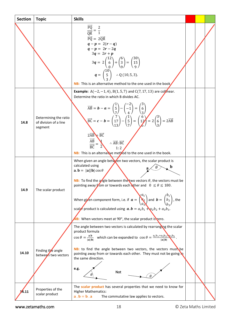| <b>Section</b> | <b>Topic</b>                                              | <b>Skills</b>                                                                                                                                                                                                                                                                                                                                                                                                                                                                                                                                                                                                                                                                                                                                                                                                                               |  |  |
|----------------|-----------------------------------------------------------|---------------------------------------------------------------------------------------------------------------------------------------------------------------------------------------------------------------------------------------------------------------------------------------------------------------------------------------------------------------------------------------------------------------------------------------------------------------------------------------------------------------------------------------------------------------------------------------------------------------------------------------------------------------------------------------------------------------------------------------------------------------------------------------------------------------------------------------------|--|--|
|                |                                                           | $\frac{\overline{PQ}}{\overline{QR}} = \frac{2}{1}$<br>$\overrightarrow{PQ} = 2\overrightarrow{QR}$<br>$q-p = 2(r-q)$<br>$q - p = 2r - 2q$<br>$3q = 2r + p$<br>$3q = 2\binom{12}{6} + \binom{6}{3} = \binom{30}{15}$<br>$q = \begin{pmatrix} 10 \\ 5 \\ 2 \end{pmatrix}$ : Q (10, 5, 3).<br>NB: This is an alternative method to the one used in the book                                                                                                                                                                                                                                                                                                                                                                                                                                                                                   |  |  |
| 14.8           | Determining the ratio<br>of division of a line<br>segment | <b>Example:</b> $A(-2, -1, 4)$ , $B(1, 5, 7)$ and $C(7, 17, 13)$ are collinear.<br>Determine the ratio in which B divides AC.<br>$\overrightarrow{AB} = \mathbf{b} - \mathbf{a} = \begin{pmatrix} 1 \\ 5 \\ 7 \end{pmatrix} - \begin{pmatrix} -2 \\ -1 \\ 4 \end{pmatrix} = \begin{pmatrix} 3 \\ 6 \\ 3 \end{pmatrix}$<br>$\overrightarrow{BC} = \mathbf{c} - \mathbf{b} = \begin{pmatrix} 7 \\ 17 \\ 13 \end{pmatrix} - \begin{pmatrix} 1 \\ 5 \\ 7 \end{pmatrix} = \begin{pmatrix} 6 \\ 12 \\ 9 \end{pmatrix} = 2 \begin{pmatrix} 3 \\ 6 \\ 3 \end{pmatrix} = 2\overrightarrow{AB}$<br>$2\overrightarrow{AB}$ $\overrightarrow{BC}$<br>$\frac{\overrightarrow{AB}}{\overrightarrow{BC}} = \frac{1}{2}$<br>$\therefore \overrightarrow{AB} : \overrightarrow{BC}$<br>1:2<br>NB: This is an alternative method to the one used in the book. |  |  |
| 14.9           | The scalar product                                        | When given an angle between two vectors, the scalar product is<br>calculated using<br>b<br>$\mathbf{a} \cdot \mathbf{b} =  \mathbf{a}   \mathbf{b}  \cos \theta$<br><b>NB:</b> To find the angle between the two vectors $\theta$ , the vectors must be<br>pointing away from or towards each other and $0 \le \theta \le 180$ .<br>When given component form, i.e. if $\boldsymbol{a} = \begin{pmatrix} a_1 \\ a_2 \\ a_3 \end{pmatrix}$ and $\boldsymbol{b} = \begin{pmatrix} b_1 \\ b_2 \\ b_3 \end{pmatrix}$ , the<br>scalar product is calculated using $\boldsymbol{a}.\boldsymbol{b} = a_1b_1 + a_2b_2 + a_3b_3$ .<br><b>NB:</b> When vectors meet at 90°, the scalar product is zero.                                                                                                                                               |  |  |
| 14.10          | Finding the angle<br>between two vectors                  | The angle between two vectors is calculated by rearranging the scalar<br>product formula<br>$\cos \theta = \frac{a.b}{ a  b }$ which can be expanded to $\cos \theta = \frac{a_1b_1 + a_2b_2 + a_3b_3}{ a  b }$ .<br>NB: to find the angle between two vectors, the vectors must be<br>pointing away from or towards each other. They must not be going <b>to</b><br>the same direction.<br>e.g.<br>Not                                                                                                                                                                                                                                                                                                                                                                                                                                     |  |  |
| 4.11           | Properties of the<br>scalar product                       | The scalar product has several properties that we need to know for<br><b>Higher Mathematics:</b><br>$a \cdot b = b \cdot a$<br>The commutative law applies to vectors.                                                                                                                                                                                                                                                                                                                                                                                                                                                                                                                                                                                                                                                                      |  |  |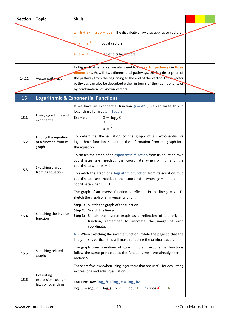<span id="page-21-0"></span>

| <b>Section</b> | <b>Topic</b>                                              | <b>Skills</b>                                                                                                                                                                                                                                                                                                                                                                                                                                                                                          |  |  |
|----------------|-----------------------------------------------------------|--------------------------------------------------------------------------------------------------------------------------------------------------------------------------------------------------------------------------------------------------------------------------------------------------------------------------------------------------------------------------------------------------------------------------------------------------------------------------------------------------------|--|--|
|                |                                                           | $\mathbf{a} \cdot (\mathbf{b} + \mathbf{c}) = \mathbf{a} \cdot \mathbf{b} + \mathbf{a} \cdot \mathbf{c}$ The distributive law also applies to vectors.<br><b>a</b> $\cdot$ a = $ a ^2$<br>Equal vectors<br>$\mathbf{a} \cdot \mathbf{b} = \mathbf{0}$<br>Perpendicular vectors.                                                                                                                                                                                                                        |  |  |
| 14.12          | Vector pathways                                           | In Higher Mathematics, we also need to use vector pathways in three<br>dimensions. As with two dimensional pathways, this is a description of<br>the pathway from the beginning to the end of the vector. These vector<br>pathways can also be described either in terms of their components or<br>by combinations of known vectors.                                                                                                                                                                   |  |  |
| 15             |                                                           | <b>Logarithmic &amp; Exponential Functions</b>                                                                                                                                                                                                                                                                                                                                                                                                                                                         |  |  |
| 15.1           | Using logarithms and<br>exponentials                      | If we have an exponential function $y = a^x$ , we can write this in<br>logarithmic form as $x = \log_a y$ .<br>$3 = \log_a 8$<br>Example:<br>$a^3=8$<br>$a=2$                                                                                                                                                                                                                                                                                                                                          |  |  |
| 15.2           | Finding the equation<br>of a function from its<br>graph   | To determine the equation of the graph of an exponential or<br>logarithmic function, substitute the information from the graph into<br>the equation.                                                                                                                                                                                                                                                                                                                                                   |  |  |
| 15.3           | Sketching a graph<br>from its equation                    | To sketch the graph of an exponential function from its equation, two<br>coordinates are needed: the coordinate when $x = 0$ and the<br>coordinate when $x = 1$ .<br>To sketch the graph of a logarithmic function from its equation, two<br>coordinates are needed: the coordinate when $y = 0$ and the<br>coordinate when $y = 1$ .                                                                                                                                                                  |  |  |
| 15.4           | Sketching the inverse<br>function                         | The graph of an inverse function is reflected in the line $y = x$ . To<br>sketch the graph of an inverse function:<br>Step 1: Sketch the graph of the function.<br><b>Step 2:</b> Sketch the line $y = x$ .<br>Step 3: Sketch the inverse graph as a reflection of the original<br>function; remember to annotate the image of each<br>coordinate.<br>NB: When sketching the inverse function, rotate the page so that the<br>line $y = x$ is vertical, this will make reflecting the original easier. |  |  |
| 15.5           | Sketching related<br>graphs                               | The graph transformations of logarithmic and exponential functions<br>follow the same principles as the functions we have already seen in<br>section 5.                                                                                                                                                                                                                                                                                                                                                |  |  |
| 15.6           | Evaluating<br>expressions using the<br>laws of logarithms | There are five laws when using logarithms that are useful for evaluating<br>expressions and solving equations:<br>The First Law: $\log_a b + \log_a c = \log_a bc$<br>$\log_4 8 + \log_4 2 = \log_4 (8 \times 2) = \log_4 16 = 2$ (since $4^2 = 16$ )                                                                                                                                                                                                                                                  |  |  |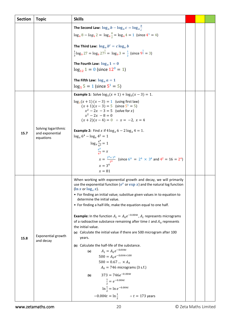| <b>Section</b> | <b>Topic</b>                           | <b>Skills</b>                                                                                                                                                                           |  |  |
|----------------|----------------------------------------|-----------------------------------------------------------------------------------------------------------------------------------------------------------------------------------------|--|--|
|                |                                        | The Second Law: $\log_a b - \log_a c = \log_a \frac{b}{c}$                                                                                                                              |  |  |
|                |                                        | $\log_4 8 - \log_4 2 = \log_4 \frac{8}{2} = \log_4 4 = 1$ (since $4^1 = 4$ )                                                                                                            |  |  |
|                |                                        | The Third Law: $\log_a b^c = c \log_a b$                                                                                                                                                |  |  |
|                |                                        | $\frac{1}{2}$ log <sub>9</sub> 27 = log <sub>9</sub> 27 <sup><math>\frac{1}{3}</math></sup> = log <sub>9</sub> 3 = $\frac{1}{2}$ (since 9 <sup><math>\frac{1}{2}</math></sup> = 3)      |  |  |
|                |                                        | The Fourth Law: $\log_a 1 = 0$                                                                                                                                                          |  |  |
|                |                                        | $log_{12} 1 = 0$ (since $12^0 = 1$ )                                                                                                                                                    |  |  |
|                |                                        | The Fifth Law: $\log_a a = 1$                                                                                                                                                           |  |  |
|                |                                        | $\log_5 5 = 1$ (since $5^1 = 5$ )                                                                                                                                                       |  |  |
|                |                                        | <b>Example 1:</b> Solve $\log_5(x + 1) + \log_5(x - 3) = 1$ .                                                                                                                           |  |  |
|                |                                        | $\log_5(x + 1)(x - 3) = 1$ (using first law)<br>$(x + 1)(x - 3) = 5$ (since $5^1 = 5$ )                                                                                                 |  |  |
|                |                                        | $x^2 - 2x - 3 = 5$ (solve for x)<br>$x^2 - 2x - 8 = 0$                                                                                                                                  |  |  |
|                |                                        | $(x + 2)(x - 4) = 0$ : $x = -2$ , $x = 4$                                                                                                                                               |  |  |
|                | Solving logarithmic<br>and exponential | <b>Example 2:</b> Find x if $4 \log_x 6 - 2 \log_x 4 = 1$ .                                                                                                                             |  |  |
| 15.7           | equations                              | $\log_x 6^4 - \log_x 4^2 = 1$                                                                                                                                                           |  |  |
|                |                                        | $\log_{x} \frac{6^4}{4^2} = 1$                                                                                                                                                          |  |  |
|                |                                        | $\frac{6^4}{1^2} = x$                                                                                                                                                                   |  |  |
|                |                                        | $x = \frac{2^4 \times 3^4}{24}$ (since 6 <sup>4</sup> = 2 <sup>4</sup> × 3 <sup>4</sup> and 4 <sup>2</sup> = 16 = 2 <sup>4</sup> )                                                      |  |  |
|                |                                        | $x = 3^4$<br>$x=81$                                                                                                                                                                     |  |  |
|                |                                        |                                                                                                                                                                                         |  |  |
|                |                                        | When working with exponential growth and decay, we will primarily<br>use the exponential function ( $e^x$ or $\exp x$ ) and the natural log function<br>$(\ln x \text{ or } \log_e x).$ |  |  |
|                |                                        | • For finding an initial value; substitue given values in to equation to<br>determine the initial value.                                                                                |  |  |
|                |                                        | • For finding a half-life, make the equation equal to one half.                                                                                                                         |  |  |
|                |                                        | <b>Example:</b> In the function $A_t = A_0 e^{-0.004t}$ , $A_t$ represents micrograms                                                                                                   |  |  |
|                |                                        | of a radioactive substance remaining after time $t$ and $A_0$ represents                                                                                                                |  |  |
|                |                                        | the initial value.<br>(a) Calculate the initial value if there are 500 microgram after 100                                                                                              |  |  |
| 15.8           | Exponential growth<br>and decay        | years.                                                                                                                                                                                  |  |  |
|                |                                        | (b) Calculate the half-life of the substance.                                                                                                                                           |  |  |
|                |                                        | $A_t = A_0 e^{-0.004t}$<br>(a)<br>$500 = A_0 e^{-0.004 \times 100}$                                                                                                                     |  |  |
|                |                                        | $500 = 0.67  \times A_0$                                                                                                                                                                |  |  |
|                |                                        | $A_0 = 746$ micrograms (3 s.f.)                                                                                                                                                         |  |  |
|                |                                        | $373 = 746e^{-0.004t}$<br>(b)                                                                                                                                                           |  |  |
|                |                                        | $rac{1}{2} = e^{-0.004t}$                                                                                                                                                               |  |  |
|                |                                        | $\ln \frac{1}{2} = \ln e^{-0.004t}$                                                                                                                                                     |  |  |
|                |                                        | $-0.004t = \ln \frac{1}{2}$ $\therefore t = 173$ years                                                                                                                                  |  |  |